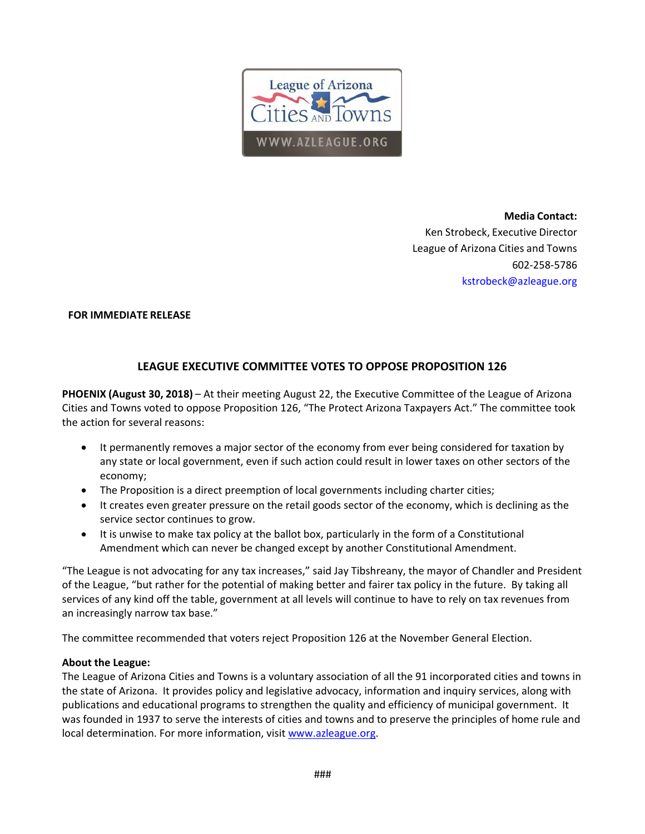

**Media Contact:**  Ken Strobeck, Executive Director League of Arizona Cities and Towns 602‐258‐5786 kstrobeck@azleague.org

#### **FOR IMMEDIATE RELEASE**

### **LEAGUE EXECUTIVE COMMITTEE VOTES TO OPPOSE PROPOSITION 126**

**PHOENIX (August 30, 2018)** – At their meeting August 22, the Executive Committee of the League of Arizona Cities and Towns voted to oppose Proposition 126, "The Protect Arizona Taxpayers Act." The committee took the action for several reasons:

- It permanently removes a major sector of the economy from ever being considered for taxation by any state or local government, even if such action could result in lower taxes on other sectors of the economy;
- The Proposition is a direct preemption of local governments including charter cities;
- It creates even greater pressure on the retail goods sector of the economy, which is declining as the service sector continues to grow.
- It is unwise to make tax policy at the ballot box, particularly in the form of a Constitutional Amendment which can never be changed except by another Constitutional Amendment.

"The League is not advocating for any tax increases," said Jay Tibshreany, the mayor of Chandler and President of the League, "but rather for the potential of making better and fairer tax policy in the future. By taking all services of any kind off the table, government at all levels will continue to have to rely on tax revenues from an increasingly narrow tax base."

The committee recommended that voters reject Proposition 126 at the November General Election.

#### **About the League:**

The League of Arizona Cities and Towns is a voluntary association of all the 91 incorporated cities and towns in the state of Arizona. It provides policy and legislative advocacy, information and inquiry services, along with publications and educational programs to strengthen the quality and efficiency of municipal government. It was founded in 1937 to serve the interests of cities and towns and to preserve the principles of home rule and local determination. For more information, visit www.azleague.org.